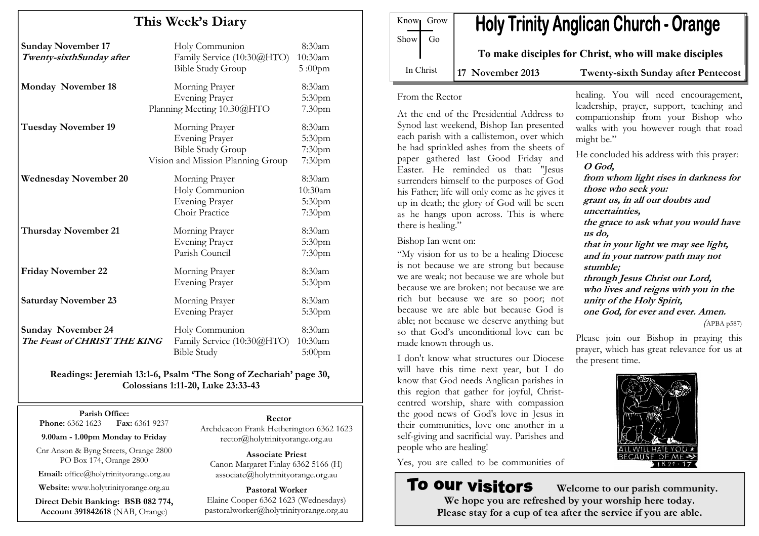# This Week's Diary Sunday November 17 Holy Communion 8:30am Twenty-sixthSunday after Family Service (10:30@HTO) 10:30am Bible Study Group 5:00pm Monday November 18 Morning Prayer 8:30am Evening Prayer 5:30pm Planning Meeting 10.30@HTO 7.30pm Tuesday November 19 Morning Prayer 8:30am Evening Prayer 5:30pm Bible Study Group 7:30pm Vision and Mission Planning Group 7:30pmWednesday November 20 Morning Prayer 8:30am Holy Communion 10:30am Evening Prayer 5:30pm Choir Practice 7:30pmThursday November 21 Morning Prayer 8:30am Evening Prayer 5:30pm Parish Council 7:30pmFriday November 22 Morning Prayer 8:30am Evening Prayer 5:30pm Saturday November 23 Morning Prayer 8:30am Evening Prayer 5:30pm Sunday November 24 Holy Communion 8:30am  $10:30am$ The Feast of CHRIST THE KINGFamily Service (10:30@HTO) 10:30am<br>Bible Study 5:00pm Bible Study

Readings: Jeremiah 13:1-6, Psalm 'The Song of Zechariah' page 30, Colossians 1:11-20, Luke 23:33-43

Parish Office: **Phone:** 6362 1623 **Fax:** 6361 9237

9.00am - 1.00pm Monday to Friday

Cnr Anson & Byng Streets, Orange 2800 PO Box 174, Orange 2800

Email: office@holytrinityorange.org.au

Website: www.holytrinityorange.org.au

Direct Debit Banking: BSB 082 774, Account 391842618 (NAB, Orange)

#### Rector

 Archdeacon Frank Hetherington 6362 1623 rector@holytrinityorange.org.au

Associate Priest Canon Margaret Finlay 6362 5166 (H) associate@holytrinityorange.org.au

Pastoral Worker Elaine Cooper 6362 1623 (Wednesdays) pastoralworker@holytrinityorange.org.au

| Know Grow<br>$Show$ Go | <b>Holy Trinity Anglican Church - Orange</b>          |                                 |
|------------------------|-------------------------------------------------------|---------------------------------|
|                        | To make disciples for Christ, who will make disciples |                                 |
| In Christ              | $17$ November $2013$                                  | Twenty givth Sunday ofter Dente |

#### 17 November 2013 Twenty-sixth Sunday after Pentecost

healing. You will need encouragement, leadership, prayer, support, teaching and

#### From the Rector

At the end of the Presidential Address to Synod last weekend, Bishop Ian presented each parish with a callistemon, over which he had sprinkled ashes from the sheets of paper gathered last Good Friday and Easter. He reminded us that: "Jesus surrenders himself to the purposes of God his Father; life will only come as he gives it up in death; the glory of God will be seen as he hangs upon across. This is where there is healing."

Bishop Ian went on:

"My vision for us to be a healing Diocese is not because we are strong but because we are weak; not because we are whole but because we are broken; not because we are rich but because we are so poor; not because we are able but because God is able; not because we deserve anything but so that God's unconditional love can be made known through us.

I don't know what structures our Diocese will have this time next year, but I do know that God needs Anglican parishes in this region that gather for joyful, Christcentred worship, share with compassion the good news of God's love in Jesus in their communities, love one another in a self-giving and sacrificial way. Parishes and people who are healing!

Yes, you are called to be communities of

# To our visitors

companionship from your Bishop who walks with you however rough that road might be." He concluded his address with this prayer: O God, from whom light rises in darkness for those who seek you: grant us, in all our doubts and uncertainties, the grace to ask what you would have us do, that in your light we may see light, and in your narrow path may not stumble; through Jesus Christ our Lord, who lives and reigns with you in the unity of the Holy Spirit,

one God, for ever and ever. Amen.

(APBA p587)

Please join our Bishop in praying this prayer, which has great relevance for us at the present time.



 Welcome to our parish community. We hope you are refreshed by your worship here today. Please stay for a cup of tea after the service if you are able.